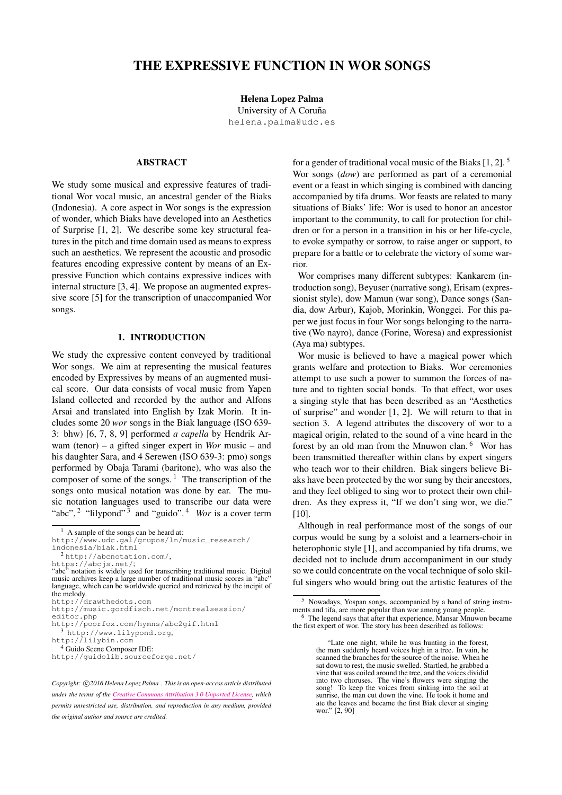# THE EXPRESSIVE FUNCTION IN WOR SONGS

Helena Lopez Palma

University of A Coruña [helena.palma@udc.es](mailto:helena.palma@udc.es)

# ABSTRACT

We study some musical and expressive features of traditional Wor vocal music, an ancestral gender of the Biaks (Indonesia). A core aspect in Wor songs is the expression of wonder, which Biaks have developed into an Aesthetics of Surprise [\[1,](#page-5-0) [2\]](#page-5-1). We describe some key structural features in the pitch and time domain used as means to express such an aesthetics. We represent the acoustic and prosodic features encoding expressive content by means of an Expressive Function which contains expressive indices with internal structure [\[3,](#page-5-2) [4\]](#page-5-3). We propose an augmented expressive score [\[5\]](#page-5-4) for the transcription of unaccompanied Wor songs.

# 1. INTRODUCTION

We study the expressive content conveyed by traditional Wor songs. We aim at representing the musical features encoded by Expressives by means of an augmented musical score. Our data consists of vocal music from Yapen Island collected and recorded by the author and Alfons Arsai and translated into English by Izak Morin. It includes some 20 *wor* songs in the Biak language (ISO 639- 3: bhw) [\[6,](#page-5-5) [7,](#page-5-6) [8,](#page-5-7) [9\]](#page-5-8) performed *a capella* by Hendrik Arwam (tenor) – a gifted singer expert in *Wor* music – and his daughter Sara, and 4 Serewen (ISO 639-3: pmo) songs performed by Obaja Tarami (baritone), who was also the composer of some of the songs.  $\frac{1}{1}$  $\frac{1}{1}$  $\frac{1}{1}$  The transcription of the songs onto musical notation was done by ear. The music notation languages used to transcribe our data were "abc", <sup>[2](#page-0-1)</sup> "lilypond"<sup>[3](#page-0-2)</sup> and "guido".<sup>[4](#page-0-3)</sup> *Wor* is a cover term

<https://abcjs.net/>; "abc" notation is widely used for transcribing traditional music. Digital music archives keep a large number of traditional music scores in "abc" language, which can be worldwide queried and retrieved by the incipit of the melody.

for a gender of traditional vocal music of the Biaks [\[1,](#page-5-0) [2\]](#page-5-1). [5](#page-0-4) Wor songs (*dow*) are performed as part of a ceremonial event or a feast in which singing is combined with dancing accompanied by tifa drums. Wor feasts are related to many situations of Biaks' life: Wor is used to honor an ancestor important to the community, to call for protection for children or for a person in a transition in his or her life-cycle, to evoke sympathy or sorrow, to raise anger or support, to prepare for a battle or to celebrate the victory of some warrior.

Wor comprises many different subtypes: Kankarem (introduction song), Beyuser (narrative song), Erisam (expressionist style), dow Mamun (war song), Dance songs (Sandia, dow Arbur), Kajob, Morinkin, Wonggei. For this paper we just focus in four Wor songs belonging to the narrative (Wo nayro), dance (Forine, Woresa) and expressionist (Aya ma) subtypes.

Wor music is believed to have a magical power which grants welfare and protection to Biaks. Wor ceremonies attempt to use such a power to summon the forces of nature and to tighten social bonds. To that effect, wor uses a singing style that has been described as an "Aesthetics of surprise" and wonder [\[1,](#page-5-0) [2\]](#page-5-1). We will return to that in section [3.](#page-2-0) A legend attributes the discovery of wor to a magical origin, related to the sound of a vine heard in the forest by an old man from the Mnuwon clan. [6](#page-0-5) Wor has been transmitted thereafter within clans by expert singers who teach wor to their children. Biak singers believe Biaks have been protected by the wor sung by their ancestors, and they feel obliged to sing wor to protect their own children. As they express it, "If we don't sing wor, we die." [\[10\]](#page-5-9).

Although in real performance most of the songs of our corpus would be sung by a soloist and a learners-choir in heterophonic style [\[1\]](#page-5-0), and accompanied by tifa drums, we decided not to include drum accompaniment in our study so we could concentrate on the vocal technique of solo skilful singers who would bring out the artistic features of the

<span id="page-0-4"></span><sup>5</sup> Nowadays, Yospan songs, accompanied by a band of string instruments and tifa, are more popular than wor among young people.

<span id="page-0-0"></span><sup>1</sup> A sample of the songs can be heard at:

[http://www.udc.gal/grupos/ln/music\\_research/](http://www.udc.gal/grupos/ln/music_research/indonesia/biak.html) [indonesia/biak.html](http://www.udc.gal/grupos/ln/music_research/indonesia/biak.html)

<span id="page-0-1"></span><sup>2</sup> <http://abcnotation.com/>,

<http://drawthedots.com>

[http://music.gordfisch.net/montrealsession/](http://music.gordfisch.net/montrealsession/editor.php) [editor.php](http://music.gordfisch.net/montrealsession/editor.php)

<http://poorfox.com/hymns/abc2gif.html>

<span id="page-0-2"></span><sup>3</sup> [http://www.lilypond.org]( http://www.lilypond.org ),

[http://lilybin.com]( http://lilybin.com)

<span id="page-0-3"></span><sup>4</sup> Guido Scene Composer IDE:

<http://guidolib.sourceforge.net/>

Copyright:  $\bigcirc$ 2016 Helena Lopez Palma . This is an open-access article distributed *under the terms of the [Creative Commons Attribution 3.0 Unported License,](http://creativecommons.org/licenses/by/3.0/) which permits unrestricted use, distribution, and reproduction in any medium, provided the original author and source are credited.*

<span id="page-0-5"></span><sup>6</sup> The legend says that after that experience, Mansar Mnuwon became the first expert of wor. The story has been described as follows:

<sup>&</sup>quot;Late one night, while he was hunting in the forest, the man suddenly heard voices high in a tree. In vain, he scanned the branches for the source of the noise. When he sat down to rest, the music swelled. Startled, he grabbed a vine that was coiled around the tree, and the voices dividid into two choruses. The vine's flowers were singing the song! To keep the voices from sinking into the soil at sunrise, the man cut down the vine. He took it home and ate the leaves and became the first Biak clever at singing wor." [\[2,](#page-5-1) 90]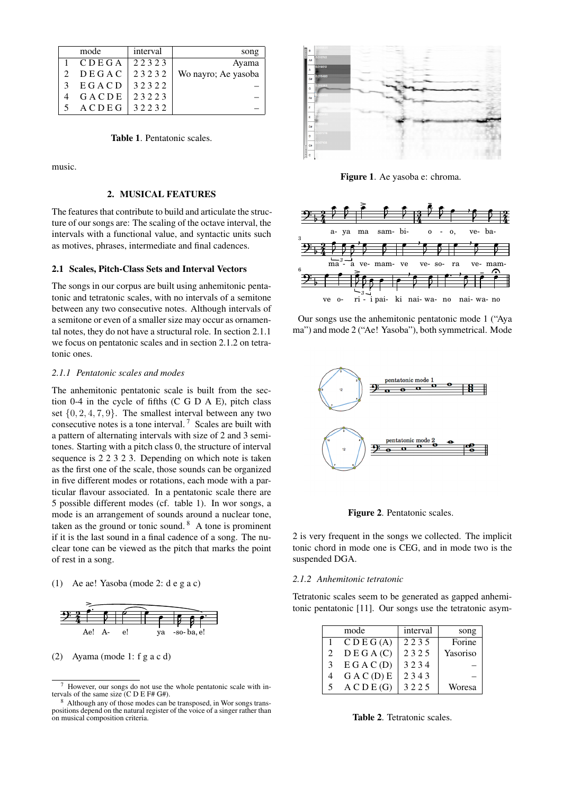<span id="page-1-3"></span>

| mode  | interval | song                |
|-------|----------|---------------------|
| CDEGA | 22323    | Ayama               |
| DEGAC | 23232    | Wo nayro; Ae yasoba |
| EGACD | 32322    |                     |
| GACDE | 23223    |                     |
| ACDEG | 32232    |                     |

Table 1. Pentatonic scales.

music.

# 2. MUSICAL FEATURES

The features that contribute to build and articulate the structure of our songs are: The scaling of the octave interval, the intervals with a functional value, and syntactic units such as motives, phrases, intermediate and final cadences.

### 2.1 Scales, Pitch-Class Sets and Interval Vectors

The songs in our corpus are built using anhemitonic pentatonic and tetratonic scales, with no intervals of a semitone between any two consecutive notes. Although intervals of a semitone or even of a smaller size may occur as ornamental notes, they do not have a structural role. In section [2.1.1](#page-1-0) we focus on pentatonic scales and in section [2.1.2](#page-1-1) on tetratonic ones.

#### <span id="page-1-0"></span>*2.1.1 Pentatonic scales and modes*

The anhemitonic pentatonic scale is built from the section 0-4 in the cycle of fifths (C G D A E), pitch class set  $\{0, 2, 4, 7, 9\}$ . The smallest interval between any two consecutive notes is a tone interval.<sup>[7](#page-1-2)</sup> Scales are built with a pattern of alternating intervals with size of 2 and 3 semitones. Starting with a pitch class 0, the structure of interval sequence is 2 2 3 2 3. Depending on which note is taken as the first one of the scale, those sounds can be organized in five different modes or rotations, each mode with a particular flavour associated. In a pentatonic scale there are 5 possible different modes (cf. table [1\)](#page-1-3). In wor songs, a mode is an arrangement of sounds around a nuclear tone, taken as the ground or tonic sound.  $8$  A tone is prominent if it is the last sound in a final cadence of a song. The nuclear tone can be viewed as the pitch that marks the point of rest in a song.

### (1) Ae ae! Yasoba (mode 2: d e g a c)



#### (2) Ayama (mode 1: f g a c d)



Figure 1. Ae yasoba e: chroma.



Our songs use the anhemitonic pentatonic mode 1 ("Aya ma") and mode 2 ("Ae! Yasoba"), both symmetrical. Mode



Figure 2. Pentatonic scales.

2 is very frequent in the songs we collected. The implicit tonic chord in mode one is CEG, and in mode two is the suspended DGA.

#### <span id="page-1-1"></span>*2.1.2 Anhemitonic tetratonic*

Tetratonic scales seem to be generated as gapped anhemitonic pentatonic [\[11\]](#page-5-10). Our songs use the tetratonic asym-

|   | mode        | interval | song     |
|---|-------------|----------|----------|
|   | CDEG(A)     | 2235     | Forine   |
| 2 | D E G A (C) | 2325     | Yasoriso |
| 3 | E G A C (D) | 3234     |          |
| 4 | G A C (D) E | 2343     |          |
| 5 | A C D E(G)  | 3225     | Woresa   |

Table 2. Tetratonic scales.

<span id="page-1-2"></span>However, our songs do not use the whole pentatonic scale with intervals of the same size (C D E F# G#).

<span id="page-1-4"></span><sup>8</sup> Although any of those modes can be transposed, in Wor songs transpositions depend on the natural register of the voice of a singer rather than on musical composition criteria.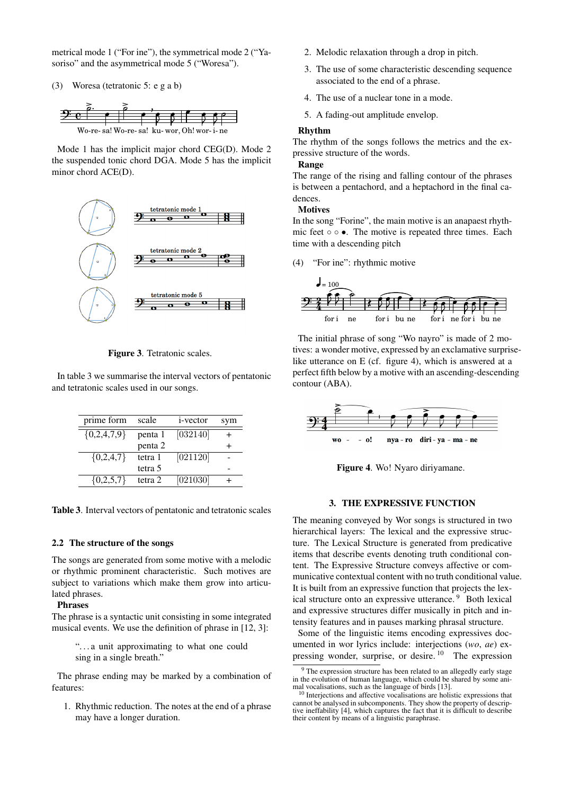metrical mode 1 ("For ine"), the symmetrical mode 2 ("Yasoriso" and the asymmetrical mode 5 ("Woresa").

(3) Woresa (tetratonic 5: e g a b)



Mode 1 has the implicit major chord CEG(D). Mode 2 the suspended tonic chord DGA. Mode 5 has the implicit minor chord ACE(D).



Figure 3. Tetratonic scales.

<span id="page-2-1"></span>In table [3](#page-2-1) we summarise the interval vectors of pentatonic and tetratonic scales used in our songs.

| prime form    | scale   | <i>i</i> -vector | sym |
|---------------|---------|------------------|-----|
| ${0,2,4,7,9}$ | penta 1 | [032140]         |     |
|               | penta 2 |                  |     |
| ${0,2,4,7}$   | tetra 1 | [021120]         |     |
|               | tetra 5 |                  |     |
| ${0,2,5,7}$   | tetra 2 | [021030]         |     |

Table 3. Interval vectors of pentatonic and tetratonic scales

# 2.2 The structure of the songs

The songs are generated from some motive with a melodic or rhythmic prominent characteristic. Such motives are subject to variations which make them grow into articulated phrases.

### Phrases

The phrase is a syntactic unit consisting in some integrated musical events. We use the definition of phrase in [\[12,](#page-5-11) 3]:

> ". . . a unit approximating to what one could sing in a single breath."

The phrase ending may be marked by a combination of features:

1. Rhythmic reduction. The notes at the end of a phrase may have a longer duration.

- 2. Melodic relaxation through a drop in pitch.
- 3. The use of some characteristic descending sequence associated to the end of a phrase.
- 4. The use of a nuclear tone in a mode.
- 5. A fading-out amplitude envelop.

### Rhythm

The rhythm of the songs follows the metrics and the expressive structure of the words.

#### Range

The range of the rising and falling contour of the phrases is between a pentachord, and a heptachord in the final cadences.

#### Motives

In the song "Forine", the main motive is an anapaest rhythmic feet ∘ ∘ •. The motive is repeated three times. Each time with a descending pitch

(4) "For ine": rhythmic motive



The initial phrase of song "Wo nayro" is made of 2 motives: a wonder motive, expressed by an exclamative surpriselike utterance on E (cf. figure [4\)](#page-2-2), which is answered at a perfect fifth below by a motive with an ascending-descending contour (ABA).

<span id="page-2-2"></span>

Figure 4. Wo! Nyaro diriyamane.

### 3. THE EXPRESSIVE FUNCTION

<span id="page-2-0"></span>The meaning conveyed by Wor songs is structured in two hierarchical layers: The lexical and the expressive structure. The Lexical Structure is generated from predicative items that describe events denoting truth conditional content. The Expressive Structure conveys affective or communicative contextual content with no truth conditional value. It is built from an expressive function that projects the lex-ical structure onto an expressive utterance.<sup>[9](#page-2-3)</sup> Both lexical and expressive structures differ musically in pitch and intensity features and in pauses marking phrasal structure.

Some of the linguistic items encoding expressives documented in wor lyrics include: interjections (*wo*, *ae*) expressing wonder, surprise, or desire. [10](#page-2-4) The expression

<span id="page-2-3"></span><sup>&</sup>lt;sup>9</sup> The expression structure has been related to an allegedly early stage in the evolution of human language, which could be shared by some animal vocalisations, such as the language of birds [\[13\]](#page-5-12).

<span id="page-2-4"></span><sup>&</sup>lt;sup>10</sup> Interjections and affective vocalisations are holistic expressions that cannot be analysed in subcomponents. They show the property of descrip-tive ineffability [\[4\]](#page-5-3), which captures the fact that it is difficult to describe their content by means of a linguistic paraphrase.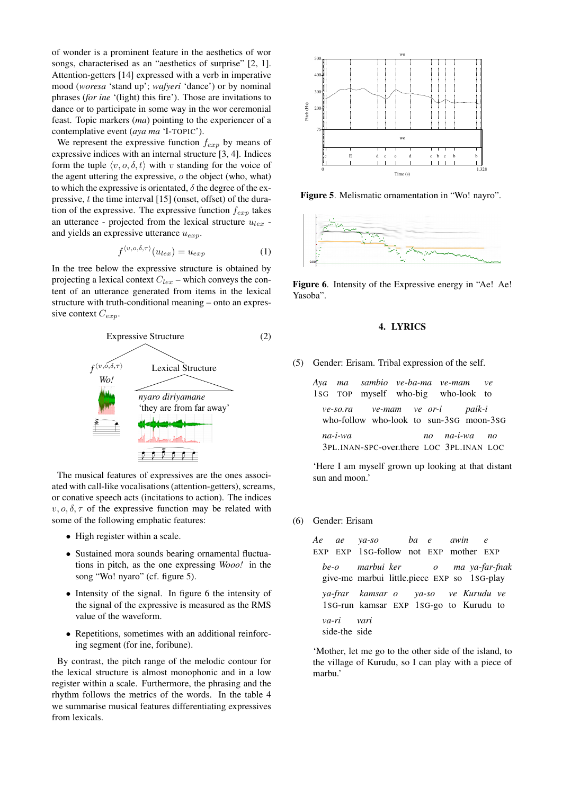of wonder is a prominent feature in the aesthetics of wor songs, characterised as an "aesthetics of surprise" [\[2,](#page-5-1) [1\]](#page-5-0). Attention-getters [\[14\]](#page-5-13) expressed with a verb in imperative mood (*woresa* 'stand up'; *wafyeri* 'dance') or by nominal phrases (*for ine* '(light) this fire'). Those are invitations to dance or to participate in some way in the wor ceremonial feast. Topic markers (*ma*) pointing to the experiencer of a contemplative event (*aya ma* 'I-TOPIC').

We represent the expressive function  $f_{exp}$  by means of expressive indices with an internal structure [\[3,](#page-5-2) [4\]](#page-5-3). Indices form the tuple  $\langle v, o, \delta, t \rangle$  with v standing for the voice of the agent uttering the expressive, o the object (who, what) to which the expressive is orientated,  $\delta$  the degree of the expressive,  $t$  the time interval  $[15]$  (onset, offset) of the duration of the expressive. The expressive function  $f_{exp}$  takes an utterance - projected from the lexical structure  $u_{lex}$  and yields an expressive utterance  $u_{\text{exp}}$ .

$$
f^{\langle v, o, \delta, \tau \rangle}(u_{lex}) = u_{exp} \tag{1}
$$

In the tree below the expressive structure is obtained by projecting a lexical context  $C_{lex}$  – which conveys the content of an utterance generated from items in the lexical structure with truth-conditional meaning – onto an expressive context  $C_{exp}$ .



The musical features of expressives are the ones associated with call-like vocalisations (attention-getters), screams, or conative speech acts (incitations to action). The indices  $v, o, \delta, \tau$  of the expressive function may be related with some of the following emphatic features:

- High register within a scale.
- Sustained mora sounds bearing ornamental fluctuations in pitch, as the one expressing *Wooo!* in the song "Wo! nyaro" (cf. figure [5\)](#page-3-0).
- Intensity of the signal. In figure [6](#page-3-1) the intensity of the signal of the expressive is measured as the RMS value of the waveform.
- Repetitions, sometimes with an additional reinforcing segment (for ine, foribune).

By contrast, the pitch range of the melodic contour for the lexical structure is almost monophonic and in a low register within a scale. Furthermore, the phrasing and the rhythm follows the metrics of the words. In the table [4](#page-4-0) we summarise musical features differentiating expressives

<span id="page-3-0"></span>

Figure 5. Melismatic ornamentation in "Wo! nayro".

<span id="page-3-1"></span>

Figure 6. Intensity of the Expressive energy in "Ae! Ae! Yasoba".

### 4. LYRICS

(5) Gender: Erisam. Tribal expression of the self.

*Aya* 1SG *ma* TOP *sambio ve-ba-ma ve-mam* myself who-big who-look to *ve*

*ve-so.ra* who-follow who-look to sun-3SG moon-3SG *ve-mam ve or-i paik-i*

*na-i-wa* 3PL.INAN-SPC-over.there LOC 3PL.INAN LOC *no na-i-wa no*

'Here I am myself grown up looking at that distant sun and moon.'

### (6) Gender: Erisam

|                             | Ae ae ya-so ba e awin e<br>EXP EXP 1SG-follow not EXP mother EXP                |  |  |  |  |
|-----------------------------|---------------------------------------------------------------------------------|--|--|--|--|
|                             | be-o marbui ker o ma ya-far-fnak<br>give-me marbui little.piece EXP so 1SG-play |  |  |  |  |
| va-ri vari<br>side-the side | ya-frar kamsar o ya-so ve Kurudu ve<br>1SG-run kamsar EXP 1SG-go to Kurudu to   |  |  |  |  |

'Mother, let me go to the other side of the island, to the village of Kurudu, so I can play with a piece of marbu.'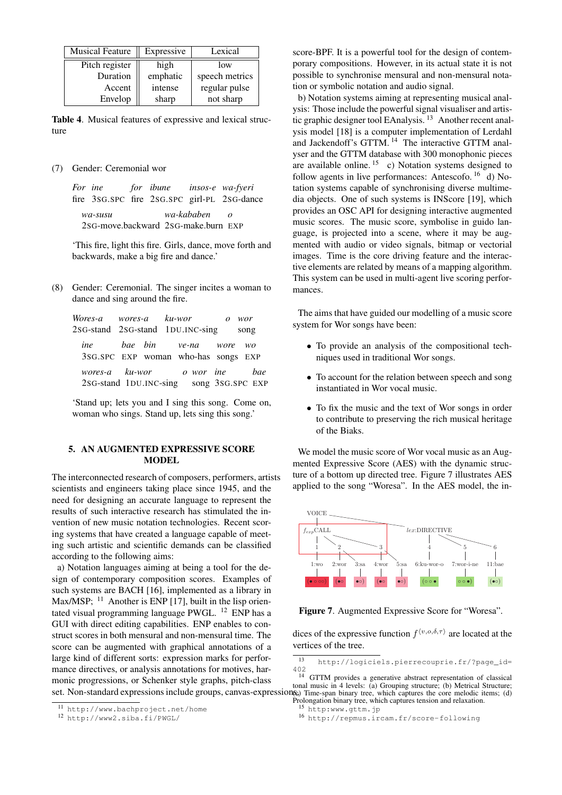<span id="page-4-0"></span>

| <b>Musical Feature</b> | Expressive | Lexical        |
|------------------------|------------|----------------|
| Pitch register         | high       | low            |
| Duration               | emphatic   | speech metrics |
| Accent                 | intense    | regular pulse  |
| Envelop                | sharp      | not sharp      |

Table 4. Musical features of expressive and lexical structure

(7) Gender: Ceremonial wor

*For ine* fire 3SG.SPC fire 2SG.SPC girl-PL 2SG-dance *for ibune insos-e wa-fyeri wa-susu* 2SG-move.backward 2SG-make.burn EXP *wa-kababen o*

'This fire, light this fire. Girls, dance, move forth and backwards, make a big fire and dance.'

(8) Gender: Ceremonial. The singer incites a woman to dance and sing around the fire.

| Wores-a wores-a ku-wor o wor                                            |  |  |  |  |
|-------------------------------------------------------------------------|--|--|--|--|
| 2sG-stand 2sG-stand 1DU.INC-sing song                                   |  |  |  |  |
| ine bae bin ve-na wore wo<br>3SG.SPC EXP woman who-has songs EXP        |  |  |  |  |
| wores-a ku-wor o wor ine bae<br>2sG-stand 1DU.INC-sing song 3sG.SPC EXP |  |  |  |  |

'Stand up; lets you and I sing this song. Come on, woman who sings. Stand up, lets sing this song.'

# 5. AN AUGMENTED EXPRESSIVE SCORE **MODEL**

The interconnected research of composers, performers, artists scientists and engineers taking place since 1945, and the need for designing an accurate language to represent the results of such interactive research has stimulated the invention of new music notation technologies. Recent scoring systems that have created a language capable of meeting such artistic and scientific demands can be classified according to the following aims:

a) Notation languages aiming at being a tool for the design of contemporary composition scores. Examples of such systems are BACH [\[16\]](#page-5-15), implemented as a library in Max/MSP;  $^{11}$  $^{11}$  $^{11}$  Another is ENP [\[17\]](#page-6-0), built in the lisp orientated visual programming language PWGL. [12](#page-4-2) ENP has a GUI with direct editing capabilities. ENP enables to construct scores in both mensural and non-mensural time. The score can be augmented with graphical annotations of a large kind of different sorts: expression marks for performance directives, or analysis annotations for motives, harmonic progressions, or Schenker style graphs, pitch-class score-BPF. It is a powerful tool for the design of contemporary compositions. However, in its actual state it is not possible to synchronise mensural and non-mensural notation or symbolic notation and audio signal.

b) Notation systems aiming at representing musical analysis: Those include the powerful signal visualiser and artistic graphic designer tool EAnalysis. [13](#page-4-3) Another recent analysis model [\[18\]](#page-6-1) is a computer implementation of Lerdahl and Jackendoff's GTTM. [14](#page-4-4) The interactive GTTM analyser and the GTTM database with 300 monophonic pieces are available online.  $15$  c) Notation systems designed to follow agents in live performances: Antescofo.  $16\bar{d}$  $16\bar{d}$ ) Notation systems capable of synchronising diverse multimedia objects. One of such systems is INScore [\[19\]](#page-6-2), which provides an OSC API for designing interactive augmented music scores. The music score, symbolise in guido language, is projected into a scene, where it may be augmented with audio or video signals, bitmap or vectorial images. Time is the core driving feature and the interactive elements are related by means of a mapping algorithm. This system can be used in multi-agent live scoring performances.

The aims that have guided our modelling of a music score system for Wor songs have been:

- To provide an analysis of the compositional techniques used in traditional Wor songs.
- To account for the relation between speech and song instantiated in Wor vocal music.
- To fix the music and the text of Wor songs in order to contribute to preserving the rich musical heritage of the Biaks.

We model the music score of Wor vocal music as an Augmented Expressive Score (AES) with the dynamic structure of a bottom up directed tree. Figure [7](#page-4-7) illustrates AES applied to the song "Woresa". In the AES model, the in-

<span id="page-4-7"></span>

Figure 7. Augmented Expressive Score for "Woresa".

dices of the expressive function  $f^{\langle v, o, \delta, \tau \rangle}$  are located at the vertices of the tree.

set. Non-standard expressions include groups, canvas-expressions) Time-span binary tree, which captures the core melodic items; (d) GTTM provides a generative abstract representation of classical tonal music in 4 levels: (a) Grouping structure; (b) Metrical Structure; Prolongation binary tree, which captures tension and relaxation.

<span id="page-4-1"></span><sup>11</sup> <http://www.bachproject.net/home>

<span id="page-4-2"></span><sup>12</sup> <http://www2.siba.fi/PWGL/>

<span id="page-4-4"></span><span id="page-4-3"></span><sup>13</sup> [http://logiciels.pierrecouprie.fr/?page\\_id=](http://logiciels.pierrecouprie.fr/?page_id=402)  $402$ <br> $14$ 

<span id="page-4-5"></span><sup>15</sup> <http:www.gttm.jp>

<span id="page-4-6"></span><sup>16</sup> <http://repmus.ircam.fr/score-following>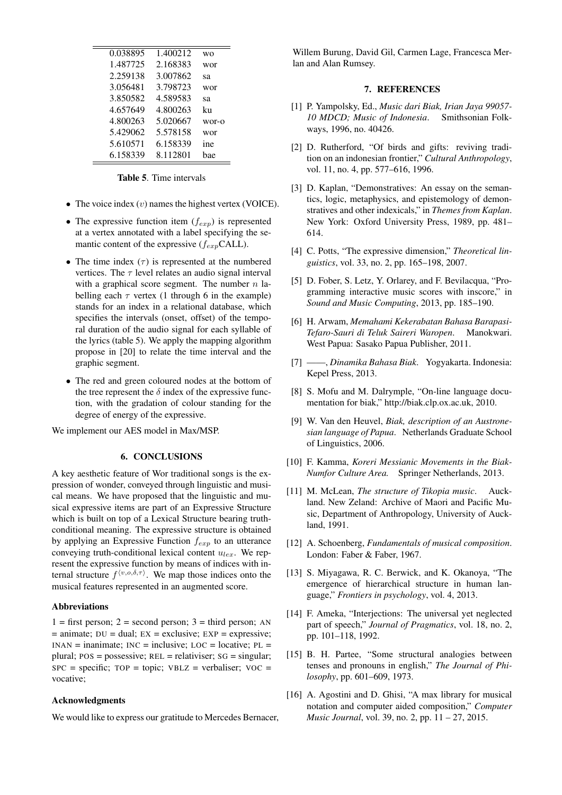<span id="page-5-16"></span>

| 0.038895 | 1.400212 | WΟ    |
|----------|----------|-------|
| 1.487725 | 2.168383 | wor   |
| 2.259138 | 3.007862 | sa    |
| 3.056481 | 3.798723 | wor   |
| 3.850582 | 4.589583 | sa    |
| 4.657649 | 4.800263 | ku    |
| 4.800263 | 5.020667 | wor-o |
| 5.429062 | 5.578158 | wor   |
| 5.610571 | 6.158339 | ine   |
| 6.158339 | 8.112801 | bae   |
|          |          |       |

# Table 5. Time intervals

- The voice index  $(v)$  names the highest vertex (VOICE).
- The expressive function item  $(f_{exp})$  is represented at a vertex annotated with a label specifying the semantic content of the expressive  $(f_{\text{exp}}\text{CALL})$ .
- The time index  $(\tau)$  is represented at the numbered vertices. The  $\tau$  level relates an audio signal interval with a graphical score segment. The number  $n$  labelling each  $\tau$  vertex (1 through 6 in the example) stands for an index in a relational database, which specifies the intervals (onset, offset) of the temporal duration of the audio signal for each syllable of the lyrics (table [5\)](#page-5-16). We apply the mapping algorithm propose in [\[20\]](#page-6-3) to relate the time interval and the graphic segment.
- The red and green coloured nodes at the bottom of the tree represent the  $\delta$  index of the expressive function, with the gradation of colour standing for the degree of energy of the expressive.

We implement our AES model in Max/MSP.

# 6. CONCLUSIONS

A key aesthetic feature of Wor traditional songs is the expression of wonder, conveyed through linguistic and musical means. We have proposed that the linguistic and musical expressive items are part of an Expressive Structure which is built on top of a Lexical Structure bearing truthconditional meaning. The expressive structure is obtained by applying an Expressive Function  $f_{exp}$  to an utterance conveying truth-conditional lexical content  $u_{lex}$ . We represent the expressive function by means of indices with internal structure  $f^{\langle v, o, \delta, \tau \rangle}$ . We map those indices onto the musical features represented in an augmented score.

# Abbreviations

 $1 =$  first person;  $2 =$  second person;  $3 =$  third person; AN  $=$  animate; DU = dual; EX = exclusive; EXP = expressive;  $INAN = inanimate$ ;  $INC = inclusive$ ;  $LOC = locative$ ;  $PL =$ plural;  $pos = possessive$ ;  $REL = relativiser$ ;  $SG = singular$ ;  $SPC = specific$ ; TOP = topic; VBLZ = verbaliser; VOC = vocative;

# Acknowledgments

We would like to express our gratitude to Mercedes Bernacer,

Willem Burung, David Gil, Carmen Lage, Francesca Merlan and Alan Rumsey.

### 7. REFERENCES

- <span id="page-5-0"></span>[1] P. Yampolsky, Ed., *Music dari Biak, Irian Jaya 99057- 10 MDCD; Music of Indonesia*. Smithsonian Folkways, 1996, no. 40426.
- <span id="page-5-1"></span>[2] D. Rutherford, "Of birds and gifts: reviving tradition on an indonesian frontier," *Cultural Anthropology*, vol. 11, no. 4, pp. 577–616, 1996.
- <span id="page-5-2"></span>[3] D. Kaplan, "Demonstratives: An essay on the semantics, logic, metaphysics, and epistemology of demonstratives and other indexicals," in *Themes from Kaplan*. New York: Oxford University Press, 1989, pp. 481– 614.
- <span id="page-5-3"></span>[4] C. Potts, "The expressive dimension," *Theoretical linguistics*, vol. 33, no. 2, pp. 165–198, 2007.
- <span id="page-5-4"></span>[5] D. Fober, S. Letz, Y. Orlarey, and F. Bevilacqua, "Programming interactive music scores with inscore," in *Sound and Music Computing*, 2013, pp. 185–190.
- <span id="page-5-5"></span>[6] H. Arwam, *Memahami Kekerabatan Bahasa Barapasi-Tefaro-Sauri di Teluk Saireri Waropen*. Manokwari. West Papua: Sasako Papua Publisher, 2011.
- <span id="page-5-6"></span>[7] ——, *Dinamika Bahasa Biak*. Yogyakarta. Indonesia: Kepel Press, 2013.
- <span id="page-5-7"></span>[8] S. Mofu and M. Dalrymple, "On-line language documentation for biak," http://biak.clp.ox.ac.uk, 2010.
- <span id="page-5-8"></span>[9] W. Van den Heuvel, *Biak, description of an Austronesian language of Papua*. Netherlands Graduate School of Linguistics, 2006.
- <span id="page-5-9"></span>[10] F. Kamma, *Koreri Messianic Movements in the Biak-Numfor Culture Area.* Springer Netherlands, 2013.
- <span id="page-5-10"></span>[11] M. McLean, *The structure of Tikopia music*. Auckland. New Zeland: Archive of Maori and Pacific Music, Department of Anthropology, University of Auckland, 1991.
- <span id="page-5-11"></span>[12] A. Schoenberg, *Fundamentals of musical composition*. London: Faber & Faber, 1967.
- <span id="page-5-12"></span>[13] S. Miyagawa, R. C. Berwick, and K. Okanoya, "The emergence of hierarchical structure in human language," *Frontiers in psychology*, vol. 4, 2013.
- <span id="page-5-13"></span>[14] F. Ameka, "Interjections: The universal yet neglected part of speech," *Journal of Pragmatics*, vol. 18, no. 2, pp. 101–118, 1992.
- <span id="page-5-14"></span>[15] B. H. Partee, "Some structural analogies between tenses and pronouns in english," *The Journal of Philosophy*, pp. 601–609, 1973.
- <span id="page-5-15"></span>[16] A. Agostini and D. Ghisi, "A max library for musical notation and computer aided composition," *Computer Music Journal*, vol. 39, no. 2, pp. 11 – 27, 2015.